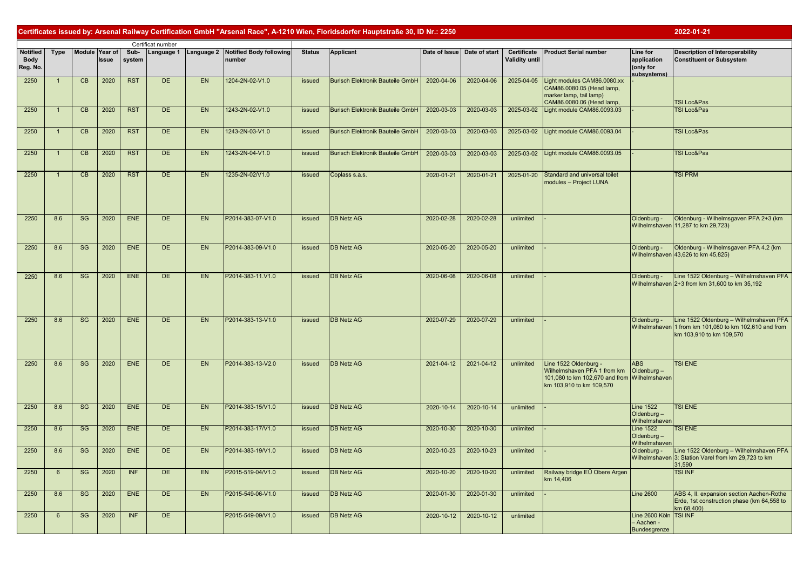|                                            |      |                |              |                |                   |           |                                              |               | Certificates issued by: Arsenal Railway Certification GmbH "Arsenal Race", A-1210 Wien, Floridsdorfer Hauptstraße 30, ID Nr.: 2250 |            |                               |                                      |                                                                                                                                  |                                                      | 2022-01-21                                                                                                      |
|--------------------------------------------|------|----------------|--------------|----------------|-------------------|-----------|----------------------------------------------|---------------|------------------------------------------------------------------------------------------------------------------------------------|------------|-------------------------------|--------------------------------------|----------------------------------------------------------------------------------------------------------------------------------|------------------------------------------------------|-----------------------------------------------------------------------------------------------------------------|
|                                            |      |                |              |                | Certificat number |           |                                              |               |                                                                                                                                    |            |                               |                                      |                                                                                                                                  |                                                      |                                                                                                                 |
| <b>Notified</b><br><b>Body</b><br>Reg. No. | Type | Module Year of | <b>Issue</b> | Sub-<br>system | Language 1        |           | Language 2 Notified Body following<br>number | <b>Status</b> | Applicant                                                                                                                          |            | Date of Issue   Date of start | Certificate<br><b>Validity until</b> | <b>Product Serial number</b>                                                                                                     | Line for<br>application<br>(only for<br>subsystems)  | <b>Description of Interoperability</b><br><b>Constituent or Subsystem</b>                                       |
| 2250                                       |      | CB             | 2020         | <b>RST</b>     | <b>DE</b>         | EN        | 1204-2N-02-V1.0                              | issued        | <b>Burisch Elektronik Bauteile GmbH</b>                                                                                            | 2020-04-06 | 2020-04-06                    | 2025-04-05                           | Light modules CAM86.0080.xx<br>CAM86.0080.05 (Head lamp,<br>marker lamp, tail lamp)<br>CAM86.0080.06 (Head lamp,                 |                                                      | <b>TSI Loc&amp;Pas</b>                                                                                          |
| 2250                                       |      | CB             | 2020         | <b>RST</b>     | <b>DE</b>         | EN        | 1243-2N-02-V1.0                              | issued        | <b>Burisch Elektronik Bauteile GmbH</b>                                                                                            | 2020-03-03 | 2020-03-03                    | 2025-03-02                           | Light module CAM86.0093.03                                                                                                       |                                                      | <b>TSI Loc&amp;Pas</b>                                                                                          |
| 2250                                       |      | CB             | 2020         | <b>RST</b>     | <b>DE</b>         | EN        | 1243-2N-03-V1.0                              | issued        | <b>Burisch Elektronik Bauteile GmbH</b>                                                                                            | 2020-03-03 | 2020-03-03                    | 2025-03-02                           | Light module CAM86.0093.04                                                                                                       |                                                      | <b>TSI Loc&amp;Pas</b>                                                                                          |
| 2250                                       |      | CB             | 2020         | <b>RST</b>     | <b>DE</b>         | EN        | 1243-2N-04-V1.0                              | issued        | <b>Burisch Elektronik Bauteile GmbH</b>                                                                                            | 2020-03-03 | 2020-03-03                    | 2025-03-02                           | Light module CAM86.0093.05                                                                                                       |                                                      | <b>TSI Loc&amp;Pas</b>                                                                                          |
| 2250                                       |      | CB             | 2020         | <b>RST</b>     | <b>DE</b>         | EN        | 1235-2N-02/V1.0                              | issued        | Coplass s.a.s.                                                                                                                     | 2020-01-21 | 2020-01-21                    | 2025-01-20                           | Standard and universal toilet<br>modules - Project LUNA                                                                          |                                                      | <b>TSI PRM</b>                                                                                                  |
| 2250                                       | 8.6  | SG             | 2020         | <b>ENE</b>     | <b>DE</b>         | EN        | P2014-383-07-V1.0                            | issued        | <b>DB Netz AG</b>                                                                                                                  | 2020-02-28 | 2020-02-28                    | unlimited                            |                                                                                                                                  | Oldenburg -                                          | Oldenburg - Wilhelmsgaven PFA 2+3 (km<br>Wilhelmshaven 11,287 to km 29,723)                                     |
| 2250                                       | 8.6  | SG             | 2020         | <b>ENE</b>     | <b>DE</b>         | <b>EN</b> | P2014-383-09-V1.0                            | issued        | <b>DB Netz AG</b>                                                                                                                  | 2020-05-20 | 2020-05-20                    | unlimited                            |                                                                                                                                  | Oldenburg -                                          | Oldenburg - Wilhelmsgaven PFA 4.2 (km<br>Wilhelmshaven 43,626 to km 45,825)                                     |
| 2250                                       | 8.6  | SG             | 2020         | <b>ENE</b>     | <b>DE</b>         | <b>EN</b> | P2014-383-11.V1.0                            | issued        | <b>DB Netz AG</b>                                                                                                                  | 2020-06-08 | 2020-06-08                    | unlimited                            |                                                                                                                                  | Oldenburg -                                          | Line 1522 Oldenburg - Wilhelmshaven PFA<br>Wilhelmshaven 2+3 from km 31,600 to km 35,192                        |
| 2250                                       | 8.6  | SG             | 2020         | <b>ENE</b>     | <b>DE</b>         | <b>EN</b> | P2014-383-13-V1.0                            | issued        | <b>DB Netz AG</b>                                                                                                                  | 2020-07-29 | 2020-07-29                    | unlimited                            |                                                                                                                                  | Oldenburg -<br>Wilhelmshaven                         | Line 1522 Oldenburg - Wilhelmshaven PFA<br>1 from km 101,080 to km 102,610 and from<br>km 103,910 to km 109,570 |
| 2250                                       | 8.6  | SG             | 2020         | <b>ENE</b>     | <b>DE</b>         | EN        | P2014-383-13-V2.0                            | issued        | <b>DB Netz AG</b>                                                                                                                  | 2021-04-12 | 2021-04-12                    | unlimited                            | Line 1522 Oldenburg -<br>Wilhelmshaven PFA 1 from km<br>101,080 to km 102,670 and from Wilhelmshaven<br>km 103,910 to km 109,570 | <b>ABS</b><br>Oldenburg -                            | <b>TSI ENE</b>                                                                                                  |
| 2250                                       | 8.6  | SG             | 2020         | <b>ENE</b>     | <b>DE</b>         | EN        | P2014-383-15/V1.0                            | issued        | <b>DB Netz AG</b>                                                                                                                  | 2020-10-14 | 2020-10-14                    | unlimited                            |                                                                                                                                  | <b>Line 1522</b><br>Oldenburg-<br>Wilhelmshaven      | <b>TSI ENE</b>                                                                                                  |
| 2250                                       | 8.6  | SG             | 2020         | ENE            | <b>DE</b>         | EN        | P2014-383-17/V1.0                            | issued        | <b>DB Netz AG</b>                                                                                                                  | 2020-10-30 | 2020-10-30                    | unlimited                            |                                                                                                                                  | <b>Line 1522</b><br>Oldenburg-<br>Wilhelmshaven      | <b>TSI ENE</b>                                                                                                  |
| 2250                                       | 8.6  | SG             | 2020         | <b>ENE</b>     | <b>DE</b>         | EN        | P2014-383-19/V1.0                            | issued        | <b>DB Netz AG</b>                                                                                                                  | 2020-10-23 | 2020-10-23                    | unlimited                            |                                                                                                                                  | Oldenburg -                                          | Line 1522 Oldenburg - Wilhelmshaven PFA<br>Wilhelmshaven 3: Station Varel from km 29.723 to km<br>31,590        |
| 2250                                       | 6    | SG             | 2020         | <b>INF</b>     | <b>DE</b>         | EN.       | P2015-519-04/V1.0                            | issued        | <b>DB Netz AG</b>                                                                                                                  | 2020-10-20 | 2020-10-20                    | unlimited                            | Railway bridge EÜ Obere Argen<br>km 14,406                                                                                       |                                                      | <b>TSI INF</b>                                                                                                  |
| 2250                                       | 8.6  | SG             | 2020         | ENE            | <b>DE</b>         | EN.       | P2015-549-06-V1.0                            | issued        | <b>DB Netz AG</b>                                                                                                                  | 2020-01-30 | 2020-01-30                    | unlimited                            |                                                                                                                                  | <b>Line 2600</b>                                     | ABS 4, II. expansion section Aachen-Rothe<br>Erde, 1st construction phase (km 64,558 to<br>km 68,400)           |
| 2250                                       | 6    | SG             | 2020         | <b>INF</b>     | <b>DE</b>         |           | P2015-549-09/V1.0                            | issued        | <b>DB Netz AG</b>                                                                                                                  | 2020-10-12 | 2020-10-12                    | unlimited                            |                                                                                                                                  | Line 2600 Köln TSI INF<br>- Aachen -<br>Bundesgrenze |                                                                                                                 |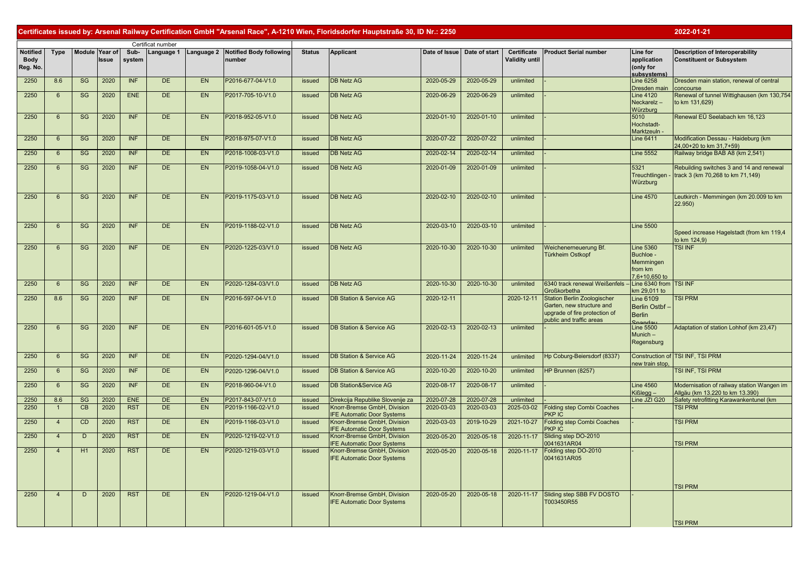|                 |                 |                |       |            |                   |    |                                    |               | Certificates issued by: Arsenal Railway Certification GmbH "Arsenal Race", A-1210 Wien, Floridsdorfer Hauptstraße 30, ID Nr.: 2250 |            |                               |                       |                                     |                                  | 2022-01-21                                              |
|-----------------|-----------------|----------------|-------|------------|-------------------|----|------------------------------------|---------------|------------------------------------------------------------------------------------------------------------------------------------|------------|-------------------------------|-----------------------|-------------------------------------|----------------------------------|---------------------------------------------------------|
|                 |                 |                |       |            | Certificat number |    |                                    |               |                                                                                                                                    |            |                               |                       |                                     |                                  |                                                         |
| <b>Notified</b> | Type            | Module Year of |       | Sub-       | Language 1        |    | Language 2 Notified Body following | <b>Status</b> | Applicant                                                                                                                          |            | Date of Issue   Date of start | Certificate           | <b>Product Serial number</b>        | Line for                         | Description of Interoperability                         |
| <b>Body</b>     |                 |                | Issue | system     |                   |    | number                             |               |                                                                                                                                    |            |                               | <b>Validity until</b> |                                     | application                      | <b>Constituent or Subsystem</b>                         |
| Reg. No.        |                 |                |       |            |                   |    |                                    |               |                                                                                                                                    |            |                               |                       |                                     | (only for                        |                                                         |
|                 |                 |                |       |            |                   |    |                                    |               |                                                                                                                                    |            |                               |                       |                                     | subsystems)                      |                                                         |
| 2250            | 8.6             | SG             | 2020  | <b>INF</b> | <b>DE</b>         | EN | P2016-677-04-V1.0                  | issued        | <b>DB Netz AG</b>                                                                                                                  | 2020-05-29 | 2020-05-29                    | unlimited             |                                     | <b>Line 6258</b>                 | Dresden main station, renewal of central                |
| 2250            | $6\phantom{.}6$ | SG             | 2020  | <b>ENE</b> | <b>DE</b>         | EN | P2017-705-10-V1.0                  | issued        | <b>DB Netz AG</b>                                                                                                                  | 2020-06-29 | 2020-06-29                    | unlimited             |                                     | Dresden main<br><b>Line 4120</b> | concourse<br>Renewal of tunnel Wittighausen (km 130,754 |
|                 |                 |                |       |            |                   |    |                                    |               |                                                                                                                                    |            |                               |                       |                                     | Neckarelz-                       | to km 131,629)                                          |
|                 |                 |                |       |            |                   |    |                                    |               |                                                                                                                                    |            |                               |                       |                                     | Würzburg                         |                                                         |
| 2250            | $6\phantom{.}6$ | SG             | 2020  | <b>INF</b> | <b>DE</b>         | EN | P2018-952-05-V1.0                  | issued        | <b>DB Netz AG</b>                                                                                                                  | 2020-01-10 | 2020-01-10                    | unlimited             |                                     | 5010                             | Renewal EÜ Seelabach km 16,123                          |
|                 |                 |                |       |            |                   |    |                                    |               |                                                                                                                                    |            |                               |                       |                                     | Hochstadt-                       |                                                         |
|                 |                 |                |       |            |                   |    |                                    |               |                                                                                                                                    |            |                               |                       |                                     | Marktzeuln -                     |                                                         |
| 2250            | $6\phantom{.}6$ | SG             | 2020  | <b>INF</b> | <b>DE</b>         | EN | P2018-975-07-V1.0                  | issued        | <b>DB Netz AG</b>                                                                                                                  | 2020-07-22 | 2020-07-22                    | unlimited             |                                     | <b>Line 6411</b>                 | Modification Dessau - Haideburg (km                     |
|                 |                 |                |       |            |                   |    |                                    |               |                                                                                                                                    |            |                               |                       |                                     |                                  | 24,00+20 to km 31,7+59)                                 |
| 2250            | $6\overline{6}$ | SG             | 2020  | INF        | <b>DE</b>         | EN | P2018-1008-03-V1.0                 | issued        | <b>DB Netz AG</b>                                                                                                                  | 2020-02-14 | 2020-02-14                    | unlimited             |                                     | <b>Line 5552</b>                 | Railway bridge BAB A8 (km 2,541)                        |
|                 |                 |                |       |            |                   |    |                                    |               |                                                                                                                                    |            |                               |                       |                                     |                                  |                                                         |
| 2250            | $6\phantom{.}6$ | SG             | 2020  | <b>INF</b> | <b>DE</b>         | EN | P2019-1058-04-V1.0                 | issued        | <b>DB Netz AG</b>                                                                                                                  | 2020-01-09 | 2020-01-09                    | unlimited             |                                     | 5321                             | Rebuilding switches 3 and 14 and renewal                |
|                 |                 |                |       |            |                   |    |                                    |               |                                                                                                                                    |            |                               |                       |                                     | <b>Treuchtlingen</b>             | track 3 (km 70,268 to km 71,149)                        |
|                 |                 |                |       |            |                   |    |                                    |               |                                                                                                                                    |            |                               |                       |                                     | Würzburg                         |                                                         |
|                 |                 |                |       |            |                   |    |                                    |               |                                                                                                                                    |            |                               |                       |                                     |                                  |                                                         |
| 2250            | 6               | SG             | 2020  | <b>INF</b> | <b>DE</b>         | EN | P2019-1175-03-V1.0                 | issued        | <b>DB Netz AG</b>                                                                                                                  | 2020-02-10 | 2020-02-10                    | unlimited             |                                     | <b>Line 4570</b>                 | Leutkirch - Memmingen (km 20.009 to km                  |
|                 |                 |                |       |            |                   |    |                                    |               |                                                                                                                                    |            |                               |                       |                                     |                                  | 22.950)                                                 |
|                 |                 |                |       |            |                   |    |                                    |               |                                                                                                                                    |            |                               |                       |                                     |                                  |                                                         |
| 2250            | $6\phantom{.}6$ | SG             | 2020  | <b>INF</b> | <b>DE</b>         | EN | P2019-1188-02-V1.0                 | issued        | <b>DB Netz AG</b>                                                                                                                  | 2020-03-10 | 2020-03-10                    | unlimited             |                                     | <b>Line 5500</b>                 |                                                         |
|                 |                 |                |       |            |                   |    |                                    |               |                                                                                                                                    |            |                               |                       |                                     |                                  | Speed increase Hagelstadt (from km 119,4                |
|                 |                 |                |       |            |                   |    |                                    |               |                                                                                                                                    |            |                               |                       |                                     |                                  | to km 124,9)                                            |
| 2250            | $6\phantom{.}6$ | SG             | 2020  | <b>INF</b> | <b>DE</b>         | EN | P2020-1225-03/V1.0                 | issued        | <b>DB Netz AG</b>                                                                                                                  | 2020-10-30 | 2020-10-30                    | unlimited             | Weichenerneuerung Bf.               | <b>Line 5360</b>                 | <b>TSI INF</b>                                          |
|                 |                 |                |       |            |                   |    |                                    |               |                                                                                                                                    |            |                               |                       | Türkheim Ostkopf                    | Buchloe -                        |                                                         |
|                 |                 |                |       |            |                   |    |                                    |               |                                                                                                                                    |            |                               |                       |                                     | Memmingen                        |                                                         |
|                 |                 |                |       |            |                   |    |                                    |               |                                                                                                                                    |            |                               |                       |                                     | from km                          |                                                         |
|                 |                 |                |       |            |                   |    |                                    |               |                                                                                                                                    |            |                               |                       |                                     | 7,6+10,650 to                    |                                                         |
| 2250            | 6               | SG             | 2020  | <b>INF</b> | <b>DE</b>         | EN | P2020-1284-03/V1.0                 | issued        | <b>DB Netz AG</b>                                                                                                                  | 2020-10-30 | 2020-10-30                    | unlimited             | 6340 track renewal Weißenfels       | Line 6340 from                   | <b>TSI INF</b>                                          |
|                 |                 |                |       |            |                   |    |                                    |               |                                                                                                                                    |            |                               |                       | Großkorbetha                        | km 29,011 to                     |                                                         |
| 2250            | 8.6             | SG             | 2020  | INF        | DE                | EN | P2016-597-04-V1.0                  | issued        | <b>DB Station &amp; Service AG</b>                                                                                                 | 2020-12-11 |                               | 2020-12-11            | <b>Station Berlin Zoologischer</b>  | Line 6109                        | <b>SI PRM</b>                                           |
|                 |                 |                |       |            |                   |    |                                    |               |                                                                                                                                    |            |                               |                       | Garten, new structure and           | Berlin Ostbf -                   |                                                         |
|                 |                 |                |       |            |                   |    |                                    |               |                                                                                                                                    |            |                               |                       | upgrade of fire protection of       | <b>Berlin</b>                    |                                                         |
|                 |                 |                |       |            |                   |    |                                    |               |                                                                                                                                    |            | 2020-02-13                    |                       | public and traffic areas            |                                  |                                                         |
| 2250            | 6               | SG             | 2020  | <b>INF</b> | <b>DE</b>         | EN | P2016-601-05-V1.0                  | issued        | <b>DB Station &amp; Service AG</b>                                                                                                 | 2020-02-13 |                               | unlimited             |                                     | <b>Line 5500</b>                 | Adaptation of station Lohhof (km 23,47)                 |
|                 |                 |                |       |            |                   |    |                                    |               |                                                                                                                                    |            |                               |                       |                                     | $M$ unich $-$<br>Regensburg      |                                                         |
|                 |                 |                |       |            |                   |    |                                    |               |                                                                                                                                    |            |                               |                       |                                     |                                  |                                                         |
| 2250            | $6\phantom{.}6$ | SG             | 2020  | <b>INF</b> | <b>DE</b>         | EN | P2020-1294-04/V1.0                 | issued        | <b>DB Station &amp; Service AG</b>                                                                                                 | 2020-11-24 | 2020-11-24                    | unlimited             | Hp Coburg-Beiersdorf (8337)         | Construction of                  | TSI INF, TSI PRM                                        |
|                 |                 |                |       |            |                   |    |                                    |               |                                                                                                                                    |            |                               |                       |                                     | new train stop                   |                                                         |
| 2250            | $6\overline{6}$ | SG             | 2020  | <b>INF</b> | DE                | EN | P2020-1296-04/V1.0                 | issued        | <b>DB Station &amp; Service AG</b>                                                                                                 | 2020-10-20 | 2020-10-20                    | unlimited             | HP Brunnen (8257)                   |                                  | TSI INF, TSI PRM                                        |
|                 |                 |                |       |            |                   |    |                                    |               |                                                                                                                                    |            |                               |                       |                                     |                                  |                                                         |
| 2250            | $6\phantom{.}6$ | SG             | 2020  | <b>INF</b> | <b>DE</b>         | EN | P2018-960-04-V1.0                  | issued        | <b>DB Station&amp;Service AG</b>                                                                                                   | 2020-08-17 | 2020-08-17                    | unlimited             |                                     | Line 4560                        | Modernisation of railway station Wangen im              |
|                 |                 |                |       |            |                   |    |                                    |               |                                                                                                                                    |            |                               |                       |                                     | Kißlegg-                         | Allgäu (km 13.220 to km 13.390)                         |
| 2250            | 8.6             | SG             | 2020  | <b>ENE</b> | <b>DE</b>         | EN | P2017-843-07-V1.0                  | issued        | Direkcija Republike Slovenije za                                                                                                   | 2020-07-28 | 2020-07-28                    | unlimited             |                                     | Line JZI G20                     | Safety retrofitting Karawankentunel (km                 |
| 2250            |                 | CB             | 2020  | <b>RST</b> | <b>DE</b>         | EN | P2019-1166-02-V1.0                 | issued        | Knorr-Bremse GmbH, Division                                                                                                        | 2020-03-03 | 2020-03-03                    | 2025-03-02            | <b>Folding step Combi Coaches</b>   |                                  | <b>TSI PRM</b>                                          |
|                 |                 |                |       |            |                   |    |                                    |               | <b>IFE Automatic Door Systems</b>                                                                                                  |            |                               |                       | PKP IC                              |                                  |                                                         |
| 2250            | $\overline{4}$  | CD             | 2020  | <b>RST</b> | <b>DE</b>         | EN | P2019-1166-03-V1.0                 | issued        | Knorr-Bremse GmbH, Division                                                                                                        | 2020-03-03 | 2019-10-29                    | 2021-10-27            | <b>Folding step Combi Coaches</b>   |                                  | <b>TSI PRM</b>                                          |
|                 |                 |                |       |            |                   |    |                                    |               | <b>IFE Automatic Door Systems</b>                                                                                                  |            |                               |                       | PKP IC                              |                                  |                                                         |
| 2250            | $\overline{4}$  | D              | 2020  | <b>RST</b> | DE                | EN | P2020-1219-02-V1.0                 | issued        | Knorr-Bremse GmbH, Division                                                                                                        | 2020-05-20 | 2020-05-18                    | 2020-11-17            | Sliding step DO-2010<br>0041631AR04 |                                  | <b>TSI PRM</b>                                          |
| 2250            | $\overline{4}$  | H1             | 2020  | <b>RST</b> | DE                | EN | P2020-1219-03-V1.0                 | issued        | <b>FE Automatic Door Systems</b><br>Knorr-Bremse GmbH, Division                                                                    | 2020-05-20 | 2020-05-18                    | 2020-11-17            | Folding step DO-2010                |                                  |                                                         |
|                 |                 |                |       |            |                   |    |                                    |               | <b>IFE Automatic Door Systems</b>                                                                                                  |            |                               |                       | 0041631AR05                         |                                  |                                                         |
|                 |                 |                |       |            |                   |    |                                    |               |                                                                                                                                    |            |                               |                       |                                     |                                  |                                                         |
|                 |                 |                |       |            |                   |    |                                    |               |                                                                                                                                    |            |                               |                       |                                     |                                  |                                                         |
|                 |                 |                |       |            |                   |    |                                    |               |                                                                                                                                    |            |                               |                       |                                     |                                  |                                                         |
|                 |                 |                |       |            |                   |    |                                    |               |                                                                                                                                    |            |                               |                       |                                     |                                  | <b>TSI PRM</b>                                          |
| 2250            | $\overline{4}$  | D              | 2020  | <b>RST</b> | <b>DE</b>         | EN | P2020-1219-04-V1.0                 | issued        | Knorr-Bremse GmbH, Division                                                                                                        | 2020-05-20 | 2020-05-18                    | 2020-11-17            | Sliding step SBB FV DOSTO           |                                  |                                                         |
|                 |                 |                |       |            |                   |    |                                    |               | <b>IFE Automatic Door Systems</b>                                                                                                  |            |                               |                       | T003450R55                          |                                  |                                                         |
|                 |                 |                |       |            |                   |    |                                    |               |                                                                                                                                    |            |                               |                       |                                     |                                  |                                                         |
|                 |                 |                |       |            |                   |    |                                    |               |                                                                                                                                    |            |                               |                       |                                     |                                  |                                                         |
|                 |                 |                |       |            |                   |    |                                    |               |                                                                                                                                    |            |                               |                       |                                     |                                  | <b>TSI PRM</b>                                          |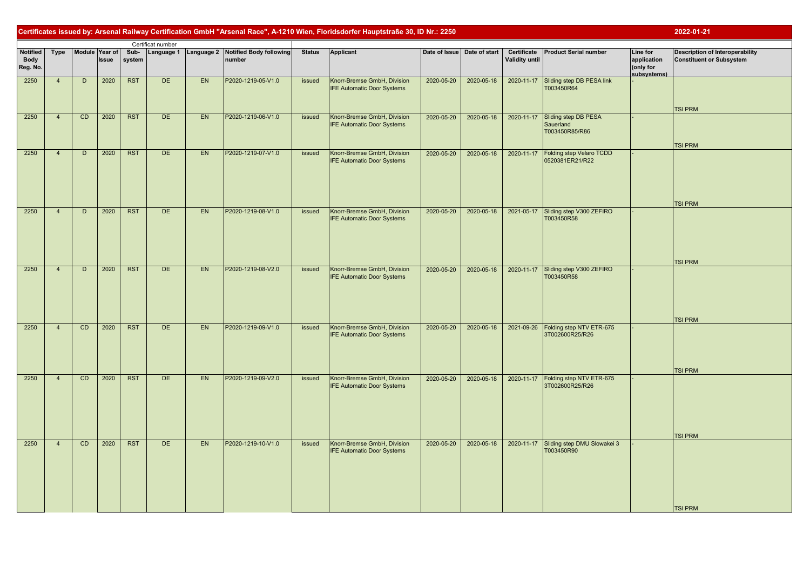|                                            |                |                |              |                |                   |           |                                              |               | Certificates issued by: Arsenal Railway Certification GmbH "Arsenal Race", A-1210 Wien, Floridsdorfer Hauptstraße 30, ID Nr.: 2250 |                             |            |                                      |                                                     |                                                     | 2022-01-21                                                                |
|--------------------------------------------|----------------|----------------|--------------|----------------|-------------------|-----------|----------------------------------------------|---------------|------------------------------------------------------------------------------------------------------------------------------------|-----------------------------|------------|--------------------------------------|-----------------------------------------------------|-----------------------------------------------------|---------------------------------------------------------------------------|
|                                            |                |                |              |                | Certificat number |           |                                              |               |                                                                                                                                    |                             |            |                                      |                                                     |                                                     |                                                                           |
| <b>Notified</b><br><b>Body</b><br>Reg. No. | Type           | Module Year of | <b>Issue</b> | Sub-<br>system | Language 1        |           | Language 2 Notified Body following<br>number | <b>Status</b> | Applicant                                                                                                                          | Date of Issue Date of start |            | Certificate<br><b>Validity until</b> | <b>Product Serial number</b>                        | Line for<br>application<br>(only for<br>subsystems) | <b>Description of Interoperability</b><br><b>Constituent or Subsystem</b> |
| 2250                                       | $\overline{4}$ | $\overline{D}$ | 2020         | <b>RST</b>     | <b>DE</b>         | EN        | P2020-1219-05-V1.0                           | issued        | Knorr-Bremse GmbH, Division<br><b>IFE Automatic Door Systems</b>                                                                   | 2020-05-20                  | 2020-05-18 | 2020-11-17                           | Sliding step DB PESA link<br>T003450R64             |                                                     |                                                                           |
| 2250                                       | $\overline{4}$ | CD             | 2020         | <b>RST</b>     | DE                | EN        | P2020-1219-06-V1.0                           | issued        | Knorr-Bremse GmbH, Division<br><b>IFE Automatic Door Systems</b>                                                                   | 2020-05-20                  | 2020-05-18 | 2020-11-17                           | Sliding step DB PESA<br>Sauerland<br>T003450R85/R86 |                                                     | <b>TSI PRM</b>                                                            |
| 2250                                       | $\overline{4}$ | D              | 2020         | <b>RST</b>     | <b>DE</b>         | <b>EN</b> | P2020-1219-07-V1.0                           | issued        | Knorr-Bremse GmbH, Division<br><b>IFE Automatic Door Systems</b>                                                                   | 2020-05-20                  | 2020-05-18 | 2020-11-17                           | Folding step Velaro TCDD<br>0520381ER21/R22         |                                                     | <b>TSI PRM</b><br><b>TSI PRM</b>                                          |
| 2250                                       | $\overline{4}$ | D              | 2020         | <b>RST</b>     | <b>DE</b>         | <b>EN</b> | P2020-1219-08-V1.0                           | issued        | Knorr-Bremse GmbH, Division<br><b>IFE Automatic Door Systems</b>                                                                   | 2020-05-20                  | 2020-05-18 | 2021-05-17                           | Sliding step V300 ZEFIRO<br>T003450R58              |                                                     |                                                                           |
| 2250                                       | $\overline{4}$ | D              | 2020         | <b>RST</b>     | <b>DE</b>         | EN        | P2020-1219-08-V2.0                           | issued        | Knorr-Bremse GmbH, Division<br><b>IFE Automatic Door Systems</b>                                                                   | 2020-05-20                  | 2020-05-18 | 2020-11-17                           | Sliding step V300 ZEFIRO<br>T003450R58              |                                                     | <b>TSI PRM</b><br><b>TSI PRM</b>                                          |
| 2250                                       | $\overline{4}$ | CD             | 2020         | <b>RST</b>     | <b>DE</b>         | EN        | P2020-1219-09-V1.0                           | issued        | Knorr-Bremse GmbH, Division<br><b>IFE Automatic Door Systems</b>                                                                   | 2020-05-20                  | 2020-05-18 | 2021-09-26                           | Folding step NTV ETR-675<br>3T002600R25/R26         |                                                     | <b>TSI PRM</b>                                                            |
| 2250                                       | $\overline{4}$ | CD             | 2020         | <b>RST</b>     | DE                | EN        | P2020-1219-09-V2.0                           | issued        | Knorr-Bremse GmbH, Division<br><b>IFE Automatic Door Systems</b>                                                                   | 2020-05-20                  | 2020-05-18 | 2020-11-17                           | Folding step NTV ETR-675<br>3T002600R25/R26         |                                                     | <b>TSI PRM</b>                                                            |
| 2250                                       | $\overline{4}$ | <b>CD</b>      | 2020         | <b>RST</b>     | <b>DE</b>         | <b>EN</b> | P2020-1219-10-V1.0                           | issued        | Knorr-Bremse GmbH, Division<br><b>IFE Automatic Door Systems</b>                                                                   | 2020-05-20                  | 2020-05-18 | 2020-11-17                           | Sliding step DMU Slowakei 3<br>T003450R90           |                                                     | <b>TSI PRM</b>                                                            |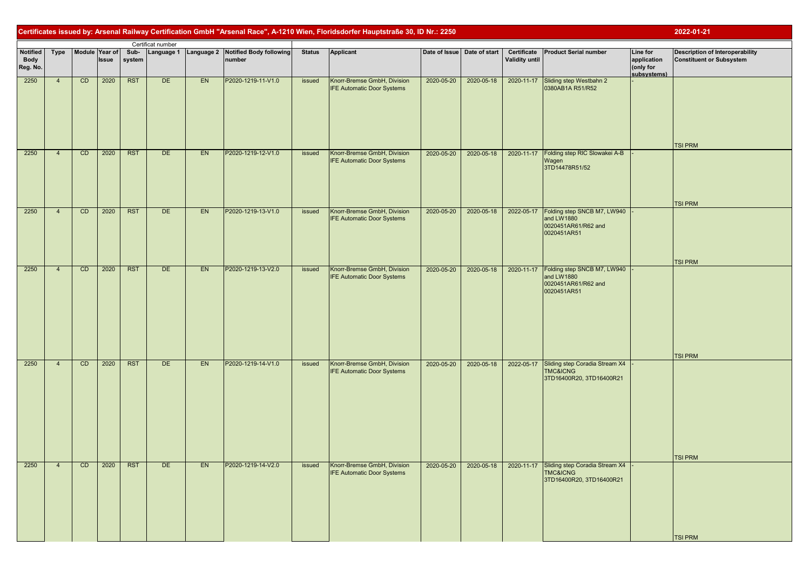|                                            |                |                |              |                |                   |    |                                              |               | Certificates issued by: Arsenal Railway Certification GmbH "Arsenal Race", A-1210 Wien, Floridsdorfer Hauptstraße 30, ID Nr.: 2250 |            |                               |                                      |                                                                                   |                                                     | 2022-01-21                                                                |
|--------------------------------------------|----------------|----------------|--------------|----------------|-------------------|----|----------------------------------------------|---------------|------------------------------------------------------------------------------------------------------------------------------------|------------|-------------------------------|--------------------------------------|-----------------------------------------------------------------------------------|-----------------------------------------------------|---------------------------------------------------------------------------|
|                                            |                |                |              |                | Certificat number |    |                                              |               |                                                                                                                                    |            |                               |                                      |                                                                                   |                                                     |                                                                           |
| <b>Notified</b><br><b>Body</b><br>Reg. No. | <b>Type</b>    | Module Year of | <b>Issue</b> | Sub-<br>system | Language 1        |    | Language 2 Notified Body following<br>number | <b>Status</b> | Applicant                                                                                                                          |            | Date of Issue   Date of start | Certificate<br><b>Validity until</b> | <b>Product Serial number</b>                                                      | Line for<br>application<br>(only for<br>subsystems) | <b>Description of Interoperability</b><br><b>Constituent or Subsystem</b> |
| 2250                                       | $\overline{4}$ | CD             | 2020         | <b>RST</b>     | <b>DE</b>         | EN | P2020-1219-11-V1.0                           | issued        | Knorr-Bremse GmbH, Division<br><b>IFE Automatic Door Systems</b>                                                                   | 2020-05-20 | 2020-05-18                    | 2020-11-17                           | Sliding step Westbahn 2<br>0380AB1A R51/R52                                       |                                                     | <b>TSI PRM</b>                                                            |
| 2250                                       | $\overline{4}$ | CD             | 2020         | <b>RST</b>     | <b>DE</b>         | EN | P2020-1219-12-V1.0                           | issued        | Knorr-Bremse GmbH, Division<br><b>IFE Automatic Door Systems</b>                                                                   | 2020-05-20 | 2020-05-18                    | 2020-11-17                           | Folding step RIC Slowakei A-B<br>Wagen<br>3TD14478R51/52                          |                                                     | <b>TSI PRM</b>                                                            |
| 2250                                       | $\overline{4}$ | CD             | 2020         | <b>RST</b>     | DE                | EN | P2020-1219-13-V1.0                           | issued        | Knorr-Bremse GmbH, Division<br><b>IFE Automatic Door Systems</b>                                                                   | 2020-05-20 | 2020-05-18                    | 2022-05-17                           | Folding step SNCB M7, LW940<br>and LW1880<br>0020451AR61/R62 and<br>0020451AR51   |                                                     | <b>TSI PRM</b>                                                            |
| 2250                                       | $\overline{4}$ | CD             | 2020         | <b>RST</b>     | DE                | EN | P2020-1219-13-V2.0                           | issued        | Knorr-Bremse GmbH, Division<br><b>IFE Automatic Door Systems</b>                                                                   | 2020-05-20 | 2020-05-18                    | 2020-11-17                           | Folding step SNCB M7, LW940<br>and LW1880<br>0020451AR61/R62 and<br>0020451AR51   |                                                     | <b>TSI PRM</b>                                                            |
| 2250                                       | $\overline{4}$ | CD             | 2020         | <b>RST</b>     | DE                | EN | P2020-1219-14-V1.0                           | issued        | Knorr-Bremse GmbH, Division<br><b>IFE Automatic Door Systems</b>                                                                   | 2020-05-20 | 2020-05-18                    | 2022-05-17                           | Sliding step Coradia Stream X4<br><b>TMC&amp;ICNG</b><br>3TD16400R20, 3TD16400R21 |                                                     | <b>TSI PRM</b>                                                            |
| 2250                                       | $\overline{4}$ | CD             | 2020         | <b>RST</b>     | <b>DE</b>         | EN | P2020-1219-14-V2.0                           | issued        | Knorr-Bremse GmbH, Division<br><b>IFE Automatic Door Systems</b>                                                                   | 2020-05-20 | 2020-05-18                    | 2020-11-17                           | Sliding step Coradia Stream X4<br><b>TMC&amp;ICNG</b><br>3TD16400R20, 3TD16400R21 |                                                     | <b>TSI PRM</b>                                                            |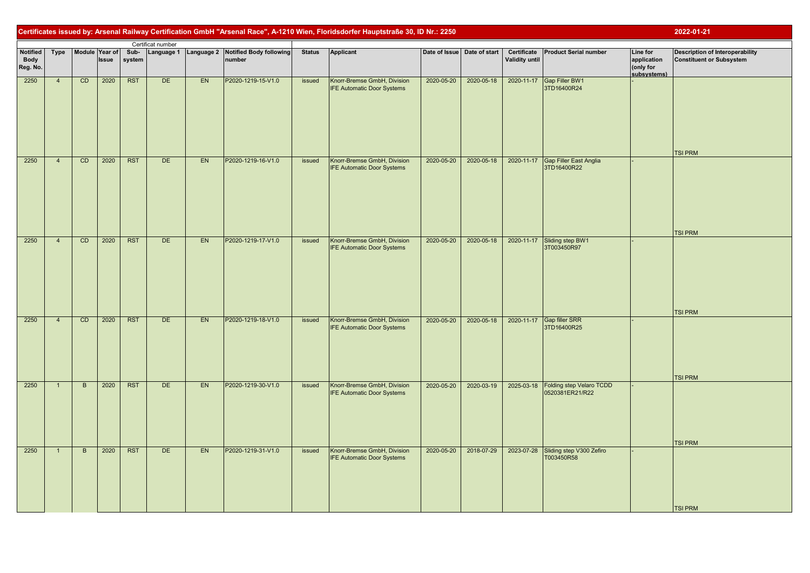|                                     |                |                |              |                |                   |    |                                                         |               | Certificates issued by: Arsenal Railway Certification GmbH "Arsenal Race", A-1210 Wien, Floridsdorfer Hauptstraße 30, ID Nr.: 2250 |                               |            |                                      |                                                   |                                                     | 2022-01-21                                                                |
|-------------------------------------|----------------|----------------|--------------|----------------|-------------------|----|---------------------------------------------------------|---------------|------------------------------------------------------------------------------------------------------------------------------------|-------------------------------|------------|--------------------------------------|---------------------------------------------------|-----------------------------------------------------|---------------------------------------------------------------------------|
|                                     |                |                |              |                | Certificat number |    |                                                         |               |                                                                                                                                    |                               |            |                                      |                                                   |                                                     |                                                                           |
| Notified<br><b>Body</b><br>Reg. No. | Type           | Module Year of | <b>Issue</b> | Sub-<br>system |                   |    | Language 1 Language 2 Notified Body following<br>number | <b>Status</b> | Applicant                                                                                                                          | Date of Issue   Date of start |            | Certificate<br><b>Validity until</b> | <b>Product Serial number</b>                      | Line for<br>application<br>(only for<br>subsystems) | <b>Description of Interoperability</b><br><b>Constituent or Subsystem</b> |
| 2250                                | $\overline{4}$ | CD             | 2020         | <b>RST</b>     | <b>DE</b>         | EN | P2020-1219-15-V1.0                                      | issued        | Knorr-Bremse GmbH, Division<br><b>IFE Automatic Door Systems</b>                                                                   | 2020-05-20                    | 2020-05-18 |                                      | 2020-11-17 Gap Filler BW1<br>3TD16400R24          |                                                     | <b>TSI PRM</b>                                                            |
| 2250                                | $\overline{4}$ | CD             | 2020         | <b>RST</b>     | <b>DE</b>         | EN | P2020-1219-16-V1.0                                      | issued        | Knorr-Bremse GmbH, Division<br><b>IFE Automatic Door Systems</b>                                                                   | 2020-05-20                    | 2020-05-18 | 2020-11-17                           | Gap Filler East Anglia<br>3TD16400R22             |                                                     | <b>TSI PRM</b>                                                            |
| 2250                                | $\overline{4}$ | CD             | 2020         | <b>RST</b>     | <b>DE</b>         | EN | P2020-1219-17-V1.0                                      | issued        | Knorr-Bremse GmbH, Division<br><b>IFE Automatic Door Systems</b>                                                                   | 2020-05-20                    | 2020-05-18 |                                      | 2020-11-17 Sliding step BW1<br>3T003450R97        |                                                     | <b>TSI PRM</b>                                                            |
| 2250                                | $\overline{4}$ | CD             | 2020         | <b>RST</b>     | DE                | EN | P2020-1219-18-V1.0                                      | issued        | Knorr-Bremse GmbH, Division<br><b>IFE Automatic Door Systems</b>                                                                   | 2020-05-20                    | 2020-05-18 |                                      | 2020-11-17 Gap filler SRR<br>3TD16400R25          |                                                     | <b>TSI PRM</b>                                                            |
| 2250                                | $\overline{1}$ | $\,$ B         | 2020         | <b>RST</b>     | DE                | EN | P2020-1219-30-V1.0                                      | issued        | Knorr-Bremse GmbH, Division<br><b>IFE Automatic Door Systems</b>                                                                   | 2020-05-20                    | 2020-03-19 | 2025-03-18                           | Folding step Velaro TCDD<br>0520381ER21/R22       |                                                     | <b>TSI PRM</b>                                                            |
| 2250                                | $\overline{1}$ | $\overline{B}$ | 2020         | <b>RST</b>     | <b>DE</b>         | EN | P2020-1219-31-V1.0                                      | issued        | Knorr-Bremse GmbH, Division<br><b>IFE Automatic Door Systems</b>                                                                   | 2020-05-20                    | 2018-07-29 |                                      | 2023-07-28 Sliding step V300 Zefiro<br>T003450R58 |                                                     | <b>TSI PRM</b>                                                            |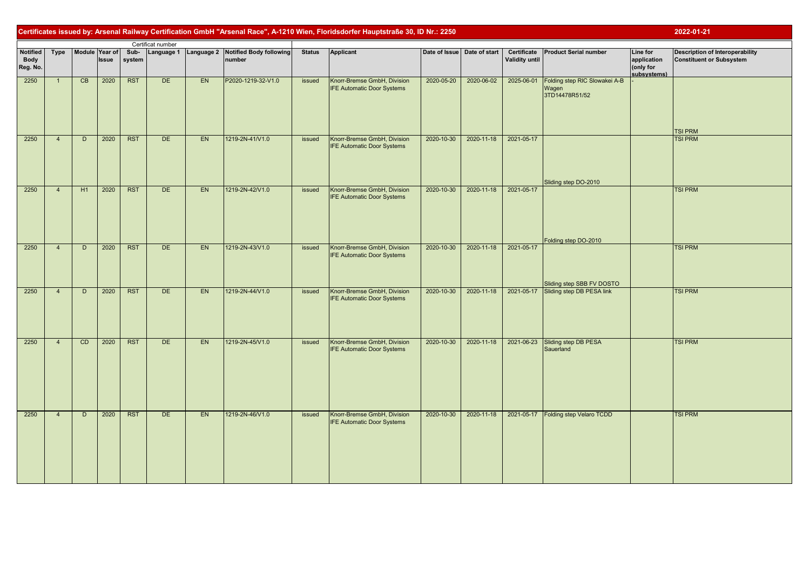|                                            |                |                |              |                |                   |           |                                              |               | Certificates issued by: Arsenal Railway Certification GmbH "Arsenal Race", A-1210 Wien, Floridsdorfer Hauptstraße 30, ID Nr.: 2250 |                             |            |                                      |                                                          |                                                     | 2022-01-21                                                                |
|--------------------------------------------|----------------|----------------|--------------|----------------|-------------------|-----------|----------------------------------------------|---------------|------------------------------------------------------------------------------------------------------------------------------------|-----------------------------|------------|--------------------------------------|----------------------------------------------------------|-----------------------------------------------------|---------------------------------------------------------------------------|
|                                            |                |                |              |                | Certificat number |           |                                              |               |                                                                                                                                    |                             |            |                                      |                                                          |                                                     |                                                                           |
| <b>Notified</b><br><b>Body</b><br>Reg. No. | Type           | Module Year of | <b>Issue</b> | Sub-<br>system | Language 1        |           | Language 2 Notified Body following<br>number | <b>Status</b> | Applicant                                                                                                                          | Date of Issue Date of start |            | Certificate<br><b>Validity until</b> | <b>Product Serial number</b>                             | Line for<br>application<br>(only for<br>subsystems) | <b>Description of Interoperability</b><br><b>Constituent or Subsystem</b> |
| 2250                                       | $\mathbf{1}$   | CB             | 2020         | <b>RST</b>     | <b>DE</b>         | EN        | P2020-1219-32-V1.0                           | issued        | Knorr-Bremse GmbH, Division<br><b>IFE Automatic Door Systems</b>                                                                   | 2020-05-20                  | 2020-06-02 | 2025-06-01                           | Folding step RIC Slowakei A-B<br>Wagen<br>3TD14478R51/52 |                                                     | <b>TSI PRM</b>                                                            |
| 2250                                       | $\overline{4}$ | D              | 2020         | <b>RST</b>     | <b>DE</b>         | <b>EN</b> | 1219-2N-41/V1.0                              | issued        | Knorr-Bremse GmbH, Division<br><b>IFE Automatic Door Systems</b>                                                                   | 2020-10-30                  | 2020-11-18 | 2021-05-17                           | Sliding step DO-2010                                     |                                                     | <b>TSI PRM</b>                                                            |
| 2250                                       | $\overline{4}$ | H1             | 2020         | <b>RST</b>     | <b>DE</b>         | EN        | 1219-2N-42/V1.0                              | issued        | Knorr-Bremse GmbH, Division<br><b>IFE Automatic Door Systems</b>                                                                   | 2020-10-30                  | 2020-11-18 | 2021-05-17                           | Folding step DO-2010                                     |                                                     | <b>TSI PRM</b>                                                            |
| 2250                                       | $\overline{4}$ | D              | 2020         | <b>RST</b>     | <b>DE</b>         | EN        | 1219-2N-43/V1.0                              | issued        | Knorr-Bremse GmbH, Division<br><b>IFE Automatic Door Systems</b>                                                                   | 2020-10-30                  | 2020-11-18 | 2021-05-17                           | Sliding step SBB FV DOSTO                                |                                                     | <b>TSI PRM</b>                                                            |
| 2250                                       | $\overline{4}$ | D              | 2020         | <b>RST</b>     | DE                | EN        | 1219-2N-44/V1.0                              | issued        | Knorr-Bremse GmbH, Division<br><b>IFE Automatic Door Systems</b>                                                                   | 2020-10-30                  | 2020-11-18 | 2021-05-17                           | Sliding step DB PESA link                                |                                                     | <b>TSI PRM</b>                                                            |
| 2250                                       | $\overline{4}$ | CD             | 2020         | <b>RST</b>     | DE                | EN        | 1219-2N-45/V1.0                              | issued        | Knorr-Bremse GmbH, Division<br><b>IFE Automatic Door Systems</b>                                                                   | 2020-10-30                  | 2020-11-18 | 2021-06-23                           | Sliding step DB PESA<br>Sauerland                        |                                                     | <b>TSI PRM</b>                                                            |
| 2250                                       | $\overline{4}$ | $\overline{D}$ | 2020         | <b>RST</b>     | <b>DE</b>         | EN        | 1219-2N-46/V1.0                              | issued        | Knorr-Bremse GmbH, Division<br><b>IFE Automatic Door Systems</b>                                                                   | 2020-10-30                  | 2020-11-18 |                                      | 2021-05-17 Folding step Velaro TCDD                      |                                                     | <b>TSI PRM</b>                                                            |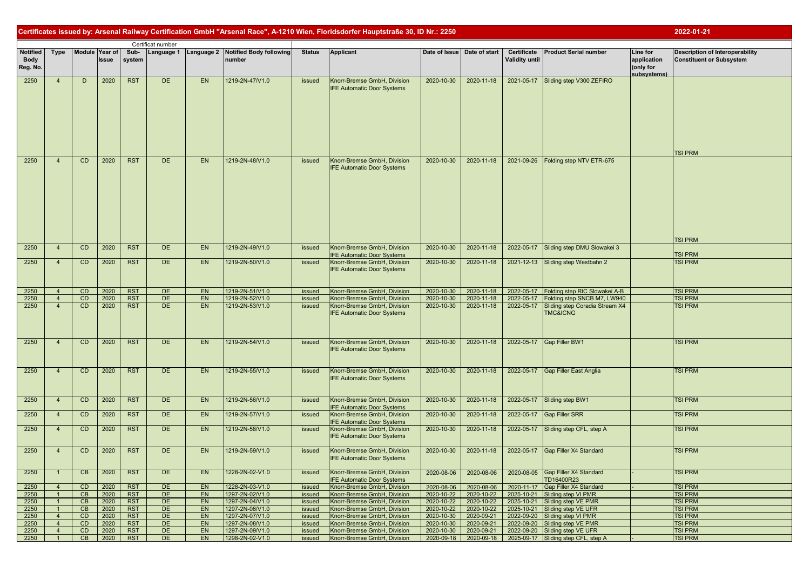|                                            |                                |                |              |                          |                        |           |                                              |                  | Certificates issued by: Arsenal Railway Certification GmbH "Arsenal Race", A-1210 Wien, Floridsdorfer Hauptstraße 30, ID Nr.: 2250 |                          |                               |                                      |                                                                  |                                                     | 2022-01-21                                                                |
|--------------------------------------------|--------------------------------|----------------|--------------|--------------------------|------------------------|-----------|----------------------------------------------|------------------|------------------------------------------------------------------------------------------------------------------------------------|--------------------------|-------------------------------|--------------------------------------|------------------------------------------------------------------|-----------------------------------------------------|---------------------------------------------------------------------------|
|                                            |                                |                |              |                          | Certificat number      |           |                                              |                  |                                                                                                                                    |                          |                               |                                      |                                                                  |                                                     |                                                                           |
| <b>Notified</b><br><b>Body</b><br>Reg. No. | Type                           | Module Year of | <b>Issue</b> | Sub-<br>system           | Language 1             |           | Language 2 Notified Body following<br>number | <b>Status</b>    | Applicant                                                                                                                          |                          | Date of Issue   Date of start | Certificate<br><b>Validity until</b> | <b>Product Serial number</b>                                     | Line for<br>application<br>(only for<br>subsystems) | <b>Description of Interoperability</b><br><b>Constituent or Subsystem</b> |
| 2250                                       | $\overline{4}$                 | D              | 2020         | <b>RST</b>               | <b>DE</b>              | EN        | 1219-2N-47/V1.0                              | issued           | Knorr-Bremse GmbH, Division<br><b>FE Automatic Door Systems</b>                                                                    | 2020-10-30               | 2020-11-18                    | 2021-05-17                           | Sliding step V300 ZEFIRO                                         |                                                     | <b>TSI PRM</b>                                                            |
| 2250                                       | $\overline{4}$                 | CD             | 2020         | <b>RST</b>               | <b>DE</b>              | EN        | 1219-2N-48/V1.0                              | issued           | Knorr-Bremse GmbH, Division<br><b>IFE Automatic Door Systems</b>                                                                   | 2020-10-30               | 2020-11-18                    | 2021-09-26                           | Folding step NTV ETR-675                                         |                                                     | <b>TSI PRM</b>                                                            |
| 2250                                       | $\overline{4}$                 | CD             | 2020         | <b>RST</b>               | DE                     | EN        | 1219-2N-49/V1.0                              | issued           | Knorr-Bremse GmbH, Division<br><b>FE Automatic Door Systems</b>                                                                    | 2020-10-30               | 2020-11-18                    | 2022-05-17                           | Sliding step DMU Slowakei 3                                      |                                                     | <b>TSI PRM</b>                                                            |
| 2250                                       | $\overline{4}$                 | CD             | 2020         | <b>RST</b>               | DE                     | EN        | 1219-2N-50/V1.0                              | issued           | Knorr-Bremse GmbH, Division<br><b>FE Automatic Door Systems</b>                                                                    | 2020-10-30               | 2020-11-18                    |                                      | 2021-12-13 Sliding step Westbahn 2                               |                                                     | <b>TSI PRM</b>                                                            |
| 2250                                       | $\overline{4}$                 | CD             | 2020         | <b>RST</b>               | <b>DE</b>              | EN        | 1219-2N-51/V1.0                              | issued           | Knorr-Bremse GmbH, Division                                                                                                        | 2020-10-30               | 2020-11-18                    |                                      | 2022-05-17 Folding step RIC Slowakei A-B                         |                                                     | <b>TSI PRM</b>                                                            |
| 2250                                       | $\overline{4}$                 | CD             | 2020         | <b>RST</b>               | DE                     | EN        | 1219-2N-52/V1.0                              | issued           | Knorr-Bremse GmbH, Division                                                                                                        | 2020-10-30               | 2020-11-18                    | 2022-05-17                           | Folding step SNCB M7, LW940                                      |                                                     | <b>TSI PRM</b>                                                            |
| 2250                                       | $\overline{4}$                 | CD             | 2020         | <b>RST</b>               | <b>DE</b>              | EN        | 1219-2N-53/V1.0                              | issued           | Knorr-Bremse GmbH, Division<br><b>FE Automatic Door Systems</b>                                                                    | 2020-10-30               | 2020-11-18                    | 2022-05-17                           | Sliding step Coradia Stream X4<br><b>TMC&amp;ICNG</b>            |                                                     | <b>TSI PRM</b>                                                            |
| 2250                                       | $\overline{4}$                 | CD             | 2020         | <b>RST</b>               | DE                     | EN        | 1219-2N-54/V1.0                              | issued           | Knorr-Bremse GmbH, Division<br><b>FE Automatic Door Systems</b>                                                                    | 2020-10-30               | 2020-11-18                    |                                      | 2022-05-17 Gap Filler BW1                                        |                                                     | <b>TSI PRM</b>                                                            |
| 2250                                       | $\overline{4}$                 | CD             | 2020         | <b>RST</b>               | <b>DE</b>              | EN        | 1219-2N-55/V1.0                              | issued           | Knorr-Bremse GmbH, Division<br><b>FE Automatic Door Systems</b>                                                                    | 2020-10-30               | 2020-11-18                    |                                      | 2022-05-17 Gap Filler East Anglia                                |                                                     | <b>TSI PRM</b>                                                            |
| 2250                                       | $\overline{4}$                 | CD             | 2020         | <b>RST</b>               | DE                     | EN        | 1219-2N-56/V1.0                              | issued           | <b>Knorr-Bremse GmbH, Division</b><br><b>FE Automatic Door Systems</b>                                                             | 2020-10-30               | 2020-11-18                    |                                      | 2022-05-17 Sliding step BW1                                      |                                                     | <b>TSI PRM</b>                                                            |
| 2250                                       | $\overline{4}$                 | CD             | 2020         | <b>RST</b>               | DE                     | EN        | 1219-2N-57/V1.0                              | issued           | Knorr-Bremse GmbH, Division<br><b>FE Automatic Door Systems</b>                                                                    | 2020-10-30               | 2020-11-18                    |                                      | 2022-05-17 Gap Filler SRR                                        |                                                     | <b>TSI PRM</b>                                                            |
| 2250                                       | $\overline{4}$                 | CD             | 2020         | <b>RST</b>               | <b>DE</b>              | EN        | 1219-2N-58/V1.0                              | issued           | Knorr-Bremse GmbH, Division<br><b>FE Automatic Door Systems</b>                                                                    | 2020-10-30               | 2020-11-18                    |                                      | 2022-05-17 Sliding step CFL, step A                              |                                                     | <b>TSI PRM</b>                                                            |
| 2250                                       | $\overline{4}$                 | CD             | 2020         | <b>RST</b>               | <b>DE</b>              | EN        | 1219-2N-59/V1.0                              | issued           | Knorr-Bremse GmbH, Division<br><b>IFE Automatic Door Systems</b>                                                                   | 2020-10-30               | 2020-11-18                    |                                      | 2022-05-17 Gap Filler X4 Standard                                |                                                     | <b>TSI PRM</b>                                                            |
| 2250                                       | $\mathbf{1}$                   | CB             | 2020         | <b>RST</b>               | <b>DE</b>              | <b>EN</b> | 1228-2N-02-V1.0                              | issued           | Knorr-Bremse GmbH, Division<br><b>FE Automatic Door Systems</b>                                                                    | 2020-08-06               | 2020-08-06                    |                                      | 2020-08-05 Gap Filler X4 Standard<br>TD16400R23                  |                                                     | <b>TSI PRM</b>                                                            |
| 2250                                       | $\overline{4}$                 | CD             | 2020         | <b>RST</b>               | <b>DE</b>              | EN        | 1228-2N-03-V1.0                              | issued           | Knorr-Bremse GmbH, Division                                                                                                        | 2020-08-06               | 2020-08-06                    |                                      | 2020-11-17 Gap Filler X4 Standard                                |                                                     | <b>TSI PRM</b>                                                            |
| 2250                                       | $\mathbf{1}$                   | CB             | 2020         | <b>RST</b>               | <b>DE</b>              | EN        | 1297-2N-02/V1.0                              | issued           | Knorr-Bremse GmbH, Division                                                                                                        | 2020-10-22               | 2020-10-22                    |                                      | 2025-10-21 Sliding step VI PMR                                   |                                                     | <b>TSI PRM</b>                                                            |
| 2250                                       | $\mathbf{1}$                   | CB             | 2020         | <b>RST</b>               | DE                     | EN        | 1297-2N-04/V1.0                              | issued           | Knorr-Bremse GmbH, Division                                                                                                        | 2020-10-22               | 2020-10-22                    |                                      | 2025-10-21 Sliding step VE PMR                                   |                                                     | <b>TSI PRM</b>                                                            |
| 2250                                       | $\mathbf{1}$<br>$\overline{4}$ | CB             | 2020<br>2020 | <b>RST</b>               | <b>DE</b><br><b>DE</b> | <b>EN</b> | 1297-2N-06/V1.0                              | issued           | Knorr-Bremse GmbH, Division                                                                                                        | 2020-10-22               | 2020-10-22                    |                                      | 2025-10-21 Sliding step VE UFR<br>2022-09-20 Sliding step VI PMR |                                                     | <b>TSI PRM</b><br><b>TSI PRM</b>                                          |
| 2250<br>2250                               | $\overline{4}$                 | CD<br>CD       | 2020         | <b>RST</b><br><b>RST</b> | <b>DE</b>              | EN<br>EN  | 1297-2N-07/V1.0<br>1297-2N-08/V1.0           | issued<br>issued | Knorr-Bremse GmbH, Division<br>Knorr-Bremse GmbH, Division                                                                         | 2020-10-30<br>2020-10-30 | 2020-09-21<br>2020-09-21      |                                      | 2022-09-20 Sliding step VE PMR                                   |                                                     | <b>TSI PRM</b>                                                            |
| 2250                                       | $\overline{4}$                 | CD             | 2020         | <b>RST</b>               | DE                     | EN        | 1297-2N-09/V1.0                              | issued           | Knorr-Bremse GmbH, Division                                                                                                        | 2020-10-30               | 2020-09-21                    |                                      | 2022-09-20 Sliding step VE UFR                                   |                                                     | <b>TSI PRM</b>                                                            |
| 2250                                       | $\overline{1}$                 | CB             | 2020         | <b>RST</b>               | DE                     | EN        | 1298-2N-02-V1.0                              | issued           | Knorr-Bremse GmbH, Division                                                                                                        |                          | 2020-09-18   2020-09-18       |                                      | 2025-09-17 Sliding step CFL, step A                              |                                                     | <b>TSI PRM</b>                                                            |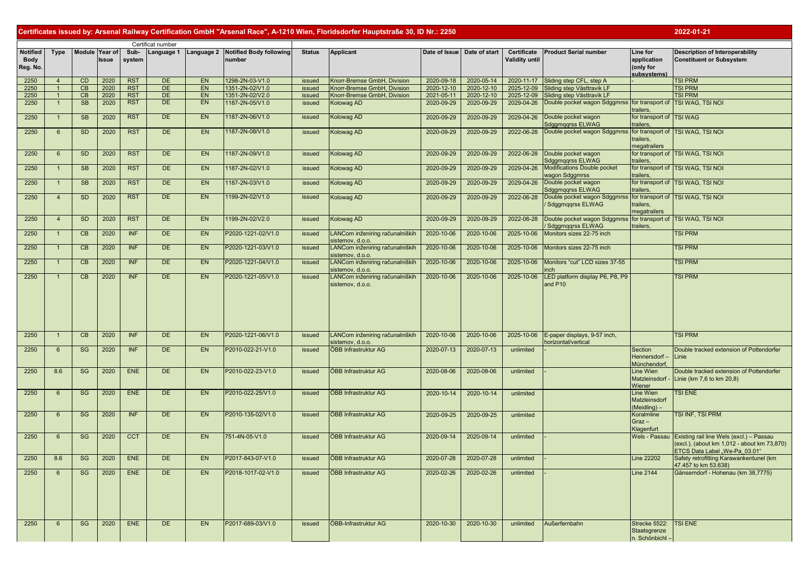|                                            |                 |                |              |                |                   |           |                                              |               | Certificates issued by: Arsenal Railway Certification GmbH "Arsenal Race", A-1210 Wien, Floridsdorfer Hauptstraße 30, ID Nr.: 2250 |            |                               |                                      |                                                         |                                                     | 2022-01-21                                                                                                              |
|--------------------------------------------|-----------------|----------------|--------------|----------------|-------------------|-----------|----------------------------------------------|---------------|------------------------------------------------------------------------------------------------------------------------------------|------------|-------------------------------|--------------------------------------|---------------------------------------------------------|-----------------------------------------------------|-------------------------------------------------------------------------------------------------------------------------|
|                                            |                 |                |              |                | Certificat number |           |                                              |               |                                                                                                                                    |            |                               |                                      |                                                         |                                                     |                                                                                                                         |
| <b>Notified</b><br><b>Body</b><br>Reg. No. | <b>Type</b>     | Module Year of | <b>Issue</b> | Sub-<br>system | Language 1        |           | Language 2 Notified Body following<br>number | <b>Status</b> | <b>Applicant</b>                                                                                                                   |            | Date of Issue   Date of start | Certificate<br><b>Validity until</b> | <b>Product Serial number</b>                            | Line for<br>application<br>(only for<br>subsystems) | <b>Description of Interoperability</b><br><b>Constituent or Subsystem</b>                                               |
| 2250                                       | $\overline{4}$  | CD             | 2020         | <b>RST</b>     | <b>DE</b>         | <b>EN</b> | 1298-2N-03-V1.0                              | issued        | <b>Knorr-Bremse GmbH, Division</b>                                                                                                 | 2020-09-18 | 2020-05-14                    | 2020-11-17                           | Sliding step CFL, step A                                |                                                     | <b>TSI PRM</b>                                                                                                          |
| 2250                                       | $\mathbf{1}$    | CB             | 2020         | <b>RST</b>     | <b>DE</b>         | EN        | 1351-2N-02/V1.0                              | issued        | <b>Knorr-Bremse GmbH, Division</b>                                                                                                 | 2020-12-10 | 2020-12-10                    | 2025-12-09                           | Sliding step Västtravik LF                              |                                                     | <b>TSI PRM</b>                                                                                                          |
| 2250                                       | $\mathbf{1}$    | CB             | 2020         | <b>RST</b>     | <b>DE</b>         | <b>EN</b> | 1351-2N-02/V2.0                              | issued        | Knorr-Bremse GmbH, Division                                                                                                        | 2021-05-11 | 2020-12-10                    | 2025-12-09                           | Sliding step Västtravik LF                              |                                                     | <b>TSI PRM</b>                                                                                                          |
| 2250                                       | $\mathbf{1}$    | <b>SB</b>      | 2020         | <b>RST</b>     | <b>DE</b>         | EN        | 1187-2N-05/V1.0                              | issued        | Kolowag AD                                                                                                                         | 2020-09-29 | 2020-09-29                    | 2029-04-26                           | Double pocket wagon Sdggmrss                            | for transport of<br>railers,                        | TSI WAG, TSI NOI                                                                                                        |
| 2250                                       | $\mathbf{1}$    | SB             | 2020         | <b>RST</b>     | DE                | EN        | 1187-2N-06/V1.0                              | issued        | <b>Kolowag AD</b>                                                                                                                  | 2020-09-29 | 2020-09-29                    | 2029-04-26                           | Double pocket wagon<br><b>Sdggmqqrss ELWAG</b>          | for transport of TSI WAG<br>railers,                |                                                                                                                         |
| 2250                                       | $6\overline{6}$ | <b>SD</b>      | 2020         | <b>RST</b>     | DE                | EN        | 1187-2N-08/V1.0                              | issued        | Kolowag AD                                                                                                                         | 2020-09-29 | 2020-09-29                    | 2022-06-28                           | Double pocket wagon Sdggmrss                            | railers.<br>megatrailers                            | for transport of TSI WAG, TSI NOI                                                                                       |
| 2250                                       | $6\overline{6}$ | <b>SD</b>      | 2020         | <b>RST</b>     | DE                | EN        | 1187-2N-09/V1.0                              | issued        | Kolowag AD                                                                                                                         | 2020-09-29 | 2020-09-29                    | 2022-06-28                           | Double pocket wagon<br><b>Sdggmqqrss ELWAG</b>          | trailers,                                           | for transport of TSI WAG, TSI NOI                                                                                       |
| 2250                                       | $\mathbf{1}$    | <b>SB</b>      | 2020         | <b>RST</b>     | DE                | EN        | 1187-2N-02/V1.0                              | issued        | Kolowag AD                                                                                                                         | 2020-09-29 | 2020-09-29                    | 2029-04-26                           | <b>Modifications Double pocket</b><br>wagon Sdggmrss    | trailers,                                           | for transport of TSI WAG, TSI NOI                                                                                       |
| 2250                                       | $\mathbf{1}$    | <b>SB</b>      | 2020         | <b>RST</b>     | DE                | EN        | 1187-2N-03/V1.0                              | issued        | <b>Kolowag AD</b>                                                                                                                  | 2020-09-29 | 2020-09-29                    | 2029-04-26                           | Double pocket wagon<br><b>Sdggmqqrss ELWAG</b>          | railers,                                            | for transport of TSI WAG, TSI NOI                                                                                       |
| 2250                                       | $\overline{4}$  | SD             | 2020         | <b>RST</b>     | <b>DE</b>         | EN        | 1199-2N-02/V1.0                              | issued        | <b>Kolowag AD</b>                                                                                                                  | 2020-09-29 | 2020-09-29                    | 2022-06-28                           | Double pocket wagon Sdggmrss<br><b>Sdggmqqrss ELWAG</b> | trailers,<br>negatrailers                           | or transport of TSI WAG, TSI NOI                                                                                        |
| 2250                                       | $\overline{4}$  | SD             | 2020         | <b>RST</b>     | <b>DE</b>         | EN        | 1199-2N-02/V2.0                              | issued        | <b>Kolowag AD</b>                                                                                                                  | 2020-09-29 | 2020-09-29                    | 2022-06-28                           | Double pocket wagon Sdggmrss<br><b>Sdggmggrss ELWAG</b> | for transport of<br>railers,                        | <b>TSI WAG, TSI NOI</b>                                                                                                 |
| 2250                                       | $\overline{1}$  | CB             | 2020         | <b>INF</b>     | DE                | EN        | P2020-1221-02/V1.0                           | issued        | ANCom inženiring računalniških<br>sistemov, d.o.o.                                                                                 | 2020-10-06 | 2020-10-06                    | 2025-10-06                           | Monitors sizes 22-75 inch                               |                                                     | <b>TSI PRM</b>                                                                                                          |
| 2250                                       | $\mathbf 1$     | CB             | 2020         | <b>INF</b>     | <b>DE</b>         | EN        | P2020-1221-03/V1.0                           | issued        | LANCom inženiring računalniških<br>sistemov, d.o.o.                                                                                | 2020-10-06 | 2020-10-06                    | 2025-10-06                           | Monitors sizes 22-75 inch                               |                                                     | <b>TSI PRM</b>                                                                                                          |
| 2250                                       | $\overline{1}$  | CB             | 2020         | <b>INF</b>     | DE                | <b>EN</b> | P2020-1221-04/V1.0                           | issued        | ANCom inženiring računalniških<br>sistemov, d.o.o.                                                                                 | 2020-10-06 | 2020-10-06                    | 2025-10-06                           | Monitors "cut" LCD sizes 37-55<br>inch                  |                                                     | <b>TSI PRM</b>                                                                                                          |
| 2250                                       |                 | CB             | 2020         | INF            | DE                | EN        | P2020-1221-05/V1.0                           | issued        | LANCom inženiring računalniških<br>sistemov, d.o.o.                                                                                | 2020-10-06 | 2020-10-06                    | 2025-10-06                           | LED platform display P6, P8, P9<br>and P10              |                                                     | <b>TSI PRM</b>                                                                                                          |
| 2250                                       | $\overline{1}$  | CB             | 2020         | <b>INF</b>     | <b>DE</b>         | <b>EN</b> | P2020-1221-06/V1.0                           | issued        | LANCom inženiring računalniških<br>sistemov, d.o.o.                                                                                | 2020-10-06 | 2020-10-06                    | 2025-10-06                           | E-paper displays, 9-57 inch,<br>horizontal/vertical     |                                                     | <b>TSI PRM</b>                                                                                                          |
| 2250                                       | $6\overline{6}$ | SG             | 2020         | NF             | <b>DE</b>         | <b>EN</b> | P2010-022-21-V1.0                            | issued        | ÖBB Infrastruktur AG                                                                                                               | 2020-07-13 | 2020-07-13                    | unlimited                            |                                                         | Section<br>Hennersdorf<br>Münchendorf,              | Double tracked extension of Pottendorfer<br>.inie                                                                       |
| 2250                                       | 8.6             | SG             | 2020         | <b>ENE</b>     | DE                | <b>EN</b> | P2010-022-23-V1.0                            | issued        | ÖBB Infrastruktur AG                                                                                                               | 2020-08-06 | 2020-08-06                    | unlimited                            |                                                         | <b>Line Wien</b><br>Matzleinsdorf<br>Wiener         | Oouble tracked extension of Pottendorfer<br>Linie (km 7,6 to km 20,8)                                                   |
| 2250                                       | $6\overline{6}$ | SG             | 2020         | <b>ENE</b>     | <b>DE</b>         | EN        | P2010-022-25/V1.0                            | issued        | ÖBB Infrastruktur AG                                                                                                               | 2020-10-14 | 2020-10-14                    | unlimited                            |                                                         | <b>Line Wien</b><br>Matzleinsdorf<br>Meidling) -    | <b>TSI ENE</b>                                                                                                          |
| 2250                                       | $6\overline{6}$ | SG             | 2020         | <b>INF</b>     | <b>DE</b>         | EN        | P2010-135-02/V1.0                            | issued        | ÖBB Infrastruktur AG                                                                                                               | 2020-09-25 | 2020-09-25                    | unlimited                            |                                                         | Koralmline<br>$Graz -$<br>Klagenfurt                | TSI INF, TSI PRM                                                                                                        |
| 2250                                       | $6\overline{6}$ | SG             | 2020         | <b>CCT</b>     | DE                | <b>EN</b> | 751-4N-05-V1.0                               | issued        | ÖBB Infrastruktur AG                                                                                                               | 2020-09-14 | 2020-09-14                    | unlimited                            |                                                         | Wels - Passau                                       | Existing rail line Wels (excl.) - Passau<br>excl.), (about km 1,012 - about km 73,870)<br>ETCS Data Label "We-Pa 03.01" |
| 2250                                       | 8.6             | SG             | 2020         | <b>ENE</b>     | DE                | <b>EN</b> | P2017-843-07-V1.0                            | issued        | ÖBB Infrastruktur AG                                                                                                               | 2020-07-28 | 2020-07-28                    | unlimited                            |                                                         | <b>Line 22202</b>                                   | Safety retrofitting Karawankentunel (km<br>47.457 to km 53.638)                                                         |
| 2250                                       | $6\overline{6}$ | SG             | 2020         | <b>ENE</b>     | <b>DE</b>         | <b>EN</b> | P2018-1017-02-V1.0                           | issued        | ÖBB Infrastruktur AG                                                                                                               | 2020-02-26 | 2020-02-26                    | unlimited                            |                                                         | <b>Line 2144</b>                                    | Gänserndorf - Hohenau (km 38,7775)                                                                                      |
| 2250                                       | $6\overline{6}$ | SG             | 2020         | <b>ENE</b>     | <b>DE</b>         | <b>EN</b> | P2017-689-03/V1.0                            | issued        | ÖBB-Infrastruktur AG                                                                                                               | 2020-10-30 | 2020-10-30                    | unlimited                            | Außerfernbahn                                           | Strecke 5522:<br>Staatsgrenze<br>Schönbichl         | <b>TSI ENE</b>                                                                                                          |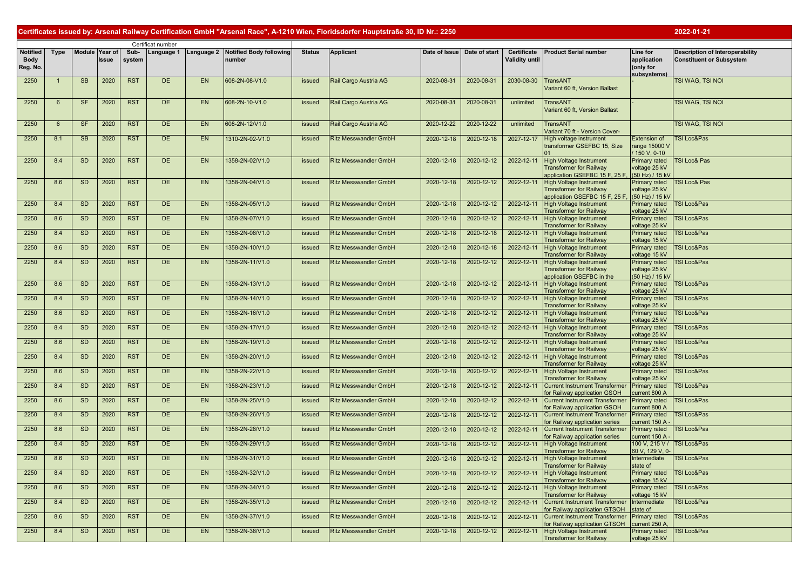|                                            |                 |                 |                                |                          |                   |                  |                                              |                  | Certificates issued by: Arsenal Railway Certification GmbH "Arsenal Race", A-1210 Wien, Floridsdorfer Hauptstraße 30, ID Nr.: 2250 |                          |                               |                                      |                                                                                                                |                                                     | 2022-01-21                                                         |
|--------------------------------------------|-----------------|-----------------|--------------------------------|--------------------------|-------------------|------------------|----------------------------------------------|------------------|------------------------------------------------------------------------------------------------------------------------------------|--------------------------|-------------------------------|--------------------------------------|----------------------------------------------------------------------------------------------------------------|-----------------------------------------------------|--------------------------------------------------------------------|
|                                            |                 |                 |                                |                          | Certificat number |                  |                                              |                  |                                                                                                                                    |                          |                               |                                      |                                                                                                                |                                                     |                                                                    |
| <b>Notified</b><br><b>Body</b><br>Reg. No. | <b>Type</b>     |                 | Module Year of<br><b>Issue</b> | Sub-<br>system           | Language 1        |                  | Language 2 Notified Body following<br>number | <b>Status</b>    | <b>Applicant</b>                                                                                                                   |                          | Date of Issue   Date of start | Certificate<br><b>Validity until</b> | <b>Product Serial number</b>                                                                                   | Line for<br>application<br>(only for<br>subsystems) | Description of Interoperability<br><b>Constituent or Subsystem</b> |
| 2250                                       |                 | SB              | 2020                           | <b>RST</b>               | DE                | EN               | 608-2N-08-V1.0                               | issued           | Rail Cargo Austria AG                                                                                                              | 2020-08-31               | 2020-08-31                    | 2030-08-30                           | <b>TransANT</b><br>Variant 60 ft, Version Ballast                                                              |                                                     | TSI WAG, TSI NOI                                                   |
| 2250                                       | $6\phantom{.}6$ | <b>SF</b>       | 2020                           | <b>RST</b>               | <b>DE</b>         | <b>EN</b>        | 608-2N-10-V1.0                               | issued           | Rail Cargo Austria AG                                                                                                              | 2020-08-31               | 2020-08-31                    | unlimited                            | <b>TransANT</b><br>Variant 60 ft, Version Ballast                                                              |                                                     | TSI WAG, TSI NOI                                                   |
| 2250                                       | $6\phantom{.}6$ | <b>SF</b>       | 2020                           | <b>RST</b>               | DE                | EN               | 608-2N-12/V1.0                               | issued           | Rail Cargo Austria AG                                                                                                              | 2020-12-22               | 2020-12-22                    | unlimited                            | TransANT<br>Variant 70 ft - Version Cover-                                                                     |                                                     | TSI WAG, TSI NOI                                                   |
| 2250                                       | 8.1             | <b>SB</b>       | 2020                           | <b>RST</b>               | DE                | <b>EN</b>        | 1310-2N-02-V1.0                              | issued           | <b>Ritz Messwandler GmbH</b>                                                                                                       | 2020-12-18               | 2020-12-18                    | 2027-12-17                           | High voltage instrument<br>transformer GSEFBC 15, Size                                                         | <b>Extension of</b><br>range 15000 \<br>150 V, 0-10 | TSI Loc&Pas                                                        |
| 2250                                       | 8.4             | <b>SD</b>       | 2020                           | <b>RST</b>               | DE                | EN               | 1358-2N-02/V1.0                              | issued           | <b>Ritz Messwandler GmbH</b>                                                                                                       | 2020-12-18               | 2020-12-12                    | 2022-12-11                           | <b>High Voltage Instrument</b><br><b>Transformer for Railway</b><br>application GSEFBC 15 F, 25 F,             | Primary rated<br>voltage 25 kV<br>(50 Hz) / 15 kV   | <b>SI Loc&amp; Pas</b>                                             |
| 2250                                       | 8.6             | <b>SD</b>       | 2020                           | <b>RST</b>               | DE                | <b>EN</b>        | 1358-2N-04/V1.0                              | issued           | <b>Ritz Messwandler GmbH</b>                                                                                                       | 2020-12-18               | 2020-12-12                    | 2022-12-11                           | <b>High Voltage Instrument</b><br><b>Transformer for Railway</b><br>application GSEFBC 15 F, 25 F,             | Primary rated<br>voltage 25 kV<br>(50 Hz) / 15 k\   | <b>SI Loc&amp; Pas</b>                                             |
| 2250                                       | 8.4             | <b>SD</b>       | 2020                           | <b>RST</b>               | DE                | EN.              | 1358-2N-05/V1.0                              | issued           | <b>Ritz Messwandler GmbH</b>                                                                                                       | 2020-12-18               | 2020-12-12                    | 2022-12-11                           | <b>High Voltage Instrument</b><br><b>Transformer for Railway</b>                                               | Primary rated<br>voltage 25 kV                      | <b>SI Loc&amp;Pas</b>                                              |
| 2250                                       | 8.6             | <b>SD</b>       | 2020                           | <b>RST</b>               | <b>DE</b>         | <b>EN</b>        | 1358-2N-07/V1.0                              | issued           | <b>Ritz Messwandler GmbH</b>                                                                                                       | 2020-12-18               | 2020-12-12                    | 2022-12-11                           | <b>High Voltage Instrument</b><br><b>Transformer for Railway</b>                                               | Primary rated<br>voltage 25 kV                      | <b>SI Loc&amp;Pas</b>                                              |
| 2250                                       | 8.4             | <b>SD</b>       | 2020                           | <b>RST</b>               | <b>DE</b>         | <b>EN</b>        | 1358-2N-08/V1.0                              | issued           | <b>Ritz Messwandler GmbH</b>                                                                                                       | 2020-12-18               | 2020-12-18                    | 2022-12-11                           | <b>High Voltage Instrument</b><br><b>Transformer for Railway</b>                                               | Primary rated<br>voltage 15 kV                      | <b>TSI Loc&amp;Pas</b>                                             |
| 2250                                       | 8.6             | <b>SD</b>       | 2020                           | <b>RST</b>               | DE                | EN               | 1358-2N-10/V1.0                              | issued           | <b>Ritz Messwandler GmbH</b>                                                                                                       | 2020-12-18               | 2020-12-18                    | 2022-12-11                           | <b>High Voltage Instrument</b><br><b>Transformer for Railway</b>                                               | Primary rated<br>voltage 15 kV                      | <b>SI Loc&amp;Pas</b>                                              |
| 2250                                       | 8.4             | <b>SD</b>       | 2020                           | <b>RST</b>               | <b>DE</b>         | <b>EN</b>        | 1358-2N-11/V1.0                              | issued           | <b>Ritz Messwandler GmbH</b>                                                                                                       | 2020-12-18               | 2020-12-12                    | 2022-12-11                           | <b>High Voltage Instrument</b><br><b>Transformer for Railway</b><br>application GSEFBC in the                  | Primary rated<br>voltage 25 kV<br>(50 Hz) / 15 k\   | <b>TSI Loc&amp;Pas</b>                                             |
| 2250                                       | 8.6             | <b>SD</b>       | 2020                           | <b>RST</b>               | DE                | EN               | 1358-2N-13/V1.0                              | issued           | <b>Ritz Messwandler GmbH</b>                                                                                                       | 2020-12-18               | 2020-12-12                    | 2022-12-11                           | <b>High Voltage Instrument</b><br><b>Transformer for Railway</b>                                               | Primary rated<br>voltage 25 kV                      | <b>SI Loc&amp;Pas</b>                                              |
| 2250                                       | 8.4             | <b>SD</b>       | 2020                           | <b>RST</b>               | <b>DE</b>         | <b>EN</b>        | 1358-2N-14/V1.0                              | issued           | <b>Ritz Messwandler GmbH</b>                                                                                                       | 2020-12-18               | 2020-12-12                    | 2022-12-11                           | <b>High Voltage Instrument</b><br><b>Transformer for Railway</b>                                               | Primary rated<br>voltage 25 kV                      | <b>SI Loc&amp;Pas</b>                                              |
| 2250                                       | 8.6             | SD              | 2020                           | <b>RST</b>               | DE                | EN               | 1358-2N-16/V1.0                              | issued           | <b>Ritz Messwandler GmbH</b>                                                                                                       | 2020-12-18               | 2020-12-12                    | 2022-12-11                           | <b>High Voltage Instrument</b><br><b>Transformer for Railway</b>                                               | Primary rated<br>voltage 25 kV                      | <b>TSI Loc&amp;Pas</b>                                             |
| 2250                                       | 8.4             | <b>SD</b>       | 2020                           | <b>RST</b>               | <b>DE</b>         | <b>EN</b>        | 1358-2N-17/V1.0                              | issued           | <b>Ritz Messwandler GmbH</b>                                                                                                       | 2020-12-18               | 2020-12-12                    | 2022-12-11                           | <b>High Voltage Instrument</b><br><b>Transformer for Railway</b>                                               | Primary rated<br>voltage 25 kV                      | <b>SI Loc&amp;Pas</b>                                              |
| 2250                                       | 8.6             | SD              | 2020                           | <b>RST</b>               | DE                | EN               | 1358-2N-19/V1.0                              | issued           | <b>Ritz Messwandler GmbH</b>                                                                                                       | 2020-12-18               | 2020-12-12                    | 2022-12-11                           | <b>High Voltage Instrument</b><br><b>Transformer for Railway</b>                                               | Primary rated<br>voltage 25 kV                      | <b>TSI Loc&amp;Pas</b>                                             |
| 2250                                       | 8.4             | <b>SD</b>       | 2020                           | <b>RST</b>               | DE                | EN               | 1358-2N-20/V1.0                              | issued           | <b>Ritz Messwandler GmbH</b>                                                                                                       | 2020-12-18               | 2020-12-12                    | 2022-12-11                           | <b>High Voltage Instrument</b><br><b>Transformer for Railway</b>                                               | Primary rated<br>voltage 25 kV                      | <b>SI Loc&amp;Pas</b>                                              |
| 2250                                       | 8.6             | <b>SD</b>       | 2020                           | <b>RST</b>               | DE<br>DE          | EN.<br><b>EN</b> | 1358-2N-22/V1.0<br>1358-2N-23/V1.0           | issued           | <b>Ritz Messwandler GmbH</b><br><b>Ritz Messwandler GmbH</b>                                                                       | 2020-12-18               | 2020-12-12                    | 2022-12-11                           | <b>High Voltage Instrument</b><br><b>Transformer for Railway</b>                                               | Primary rated<br>voltage 25 kV                      | <b>SI Loc&amp;Pas</b>                                              |
| 2250<br>2250                               | 8.4<br>8.6      | <b>SD</b><br>SD | 2020<br>2020                   | <b>RST</b><br><b>RST</b> | DE                | EN               | 1358-2N-25/V1.0                              | issued<br>issued | <b>Ritz Messwandler GmbH</b>                                                                                                       | 2020-12-18<br>2020-12-18 | 2020-12-12<br>2020-12-12      | 2022-12-11<br>2022-12-11             | <b>Current Instrument Transformer</b><br>for Railway application GSOH<br><b>Current Instrument Transformer</b> | Primary rated<br>current 800 A<br>Primary rated     | <b>SI Loc&amp;Pas</b><br><b>TSI Loc&amp;Pas</b>                    |
| 2250                                       | 8.4             | <b>SD</b>       | 2020                           | <b>RST</b>               | DE                | EN               | 1358-2N-26/V1.0                              | issued           | <b>Ritz Messwandler GmbH</b>                                                                                                       | 2020-12-18               | 2020-12-12                    | 2022-12-11                           | for Railway application GSOH<br><b>Current Instrument Transformer</b>                                          | current 800 A<br>Primary rated                      | <b>TSI Loc&amp;Pas</b>                                             |
| 2250                                       | 8.6             | <b>SD</b>       | 2020                           | <b>RST</b>               | DE                | <b>EN</b>        | 1358-2N-28/V1.0                              | issued           | <b>Ritz Messwandler GmbH</b>                                                                                                       | 2020-12-18               | 2020-12-12                    | 2022-12-11                           | for Railway application series<br><b>Current Instrument Transformer</b>                                        | current 150 A<br>Primary rated                      | TSI Loc&Pas                                                        |
| 2250                                       | 8.4             | <b>SD</b>       | 2020                           | <b>RST</b>               | <b>DE</b>         | <b>EN</b>        | 1358-2N-29/V1.0                              | issued           | <b>Ritz Messwandler GmbH</b>                                                                                                       | 2020-12-18               | 2020-12-12                    | 2022-12-11                           | or Railway application series<br><b>High Voltage Instrument</b>                                                | current 150 A<br>100 V, 215 V /                     | <b>TSI Loc&amp;Pas</b>                                             |
| 2250                                       | 8.6             | SD              | 2020                           | <b>RST</b>               | DE                | EN               | 1358-2N-31/V1.0                              | issued           | <b>Ritz Messwandler GmbH</b>                                                                                                       | 2020-12-18               | 2020-12-12                    | 2022-12-11                           | <b>Transformer for Railway</b><br>High Voltage Instrument                                                      | 60 V, 129 V, 0-<br>Intermediate                     | <b>TSI Loc&amp;Pas</b>                                             |
| 2250                                       | 8.4             | SD              | 2020                           | <b>RST</b>               | <b>DE</b>         | <b>EN</b>        | 1358-2N-32/V1.0                              | issued           | <b>Ritz Messwandler GmbH</b>                                                                                                       | 2020-12-18               | 2020-12-12                    | 2022-12-11                           | <b>Transformer for Railway</b><br><b>High Voltage Instrument</b>                                               | state of<br>Primary rated                           | <b>TSI Loc&amp;Pas</b>                                             |
| 2250                                       | 8.6             | <b>SD</b>       | 2020                           | <b>RST</b>               | <b>DE</b>         | EN.              | 1358-2N-34/V1.0                              | issued           | <b>Ritz Messwandler GmbH</b>                                                                                                       | 2020-12-18               | 2020-12-12                    | 2022-12-11                           | <b>Transformer for Railway</b><br><b>High Voltage Instrument</b>                                               | voltage 15 kV<br>Primary rated                      | TSI Loc&Pas                                                        |
| 2250                                       | 8.4             | <b>SD</b>       | 2020                           | <b>RST</b>               | <b>DE</b>         | EN               | 1358-2N-35/V1.0                              | issued           | <b>Ritz Messwandler GmbH</b>                                                                                                       | 2020-12-18               | 2020-12-12                    | 2022-12-11                           | <b>Transformer for Railway</b><br><b>Current Instrument Transformer</b>                                        | voltage 15 kV<br>Intermediate                       | TSI Loc&Pas                                                        |
| 2250                                       | 8.6             | <b>SD</b>       | 2020                           | <b>RST</b>               | <b>DE</b>         | EN.              | 1358-2N-37/V1.0                              | issued           | <b>Ritz Messwandler GmbH</b>                                                                                                       | 2020-12-18               | 2020-12-12                    | 2022-12-11                           | for Railway application GTSOH<br><b>Current Instrument Transformer</b>                                         | state of<br>Primary rated                           | <b>TSI Loc&amp;Pas</b>                                             |
| 2250                                       | 8.4             | SD              | 2020                           | <b>RST</b>               | <b>DE</b>         | EN               | 1358-2N-38/V1.0                              | issued           | <b>Ritz Messwandler GmbH</b>                                                                                                       | 2020-12-18               | 2020-12-12                    | 2022-12-11                           | for Railway application GTSOH<br><b>High Voltage Instrument</b><br><b>Transformer for Railway</b>              | current 250 A,<br>Primary rated<br>voltage 25 kV    | TSI Loc&Pas                                                        |